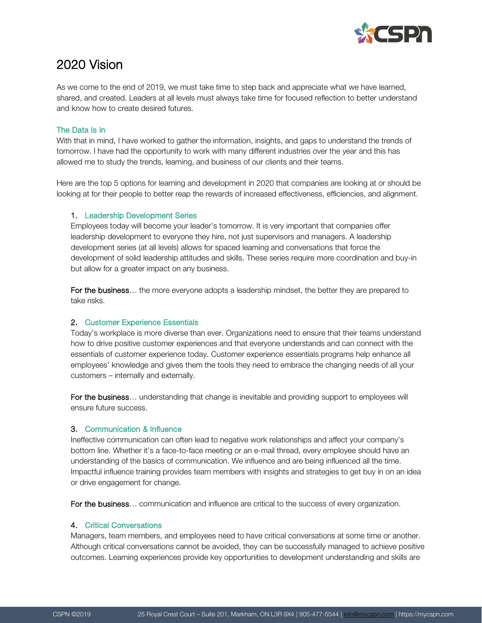

# 2020 Vision

As we come to the end of 2019, we must take time to step back and appreciate what we have learned, shared, and created. Leaders at all levels must always take time for focused reflection to better understand and know how to create desired futures.

## The Data Is In

With that in mind, I have worked to gather the information, insights, and gaps to understand the trends of tomorrow. I have had the opportunity to work with many different industries over the year and this has allowed me to study the trends, learning, and business of our clients and their teams.

Here are the top 5 options for learning and development in 2020 that companies are looking at or should be looking at for their people to better reap the rewards of increased effectiveness, efficiencies, and alignment.

#### 1. Leadership Development Series

Employees today will become your leader's tomorrow. It is very important that companies offer leadership development to everyone they hire, not just supervisors and managers. A leadership development series (at all levels) allows for spaced learning and conversations that force the development of solid leadership attitudes and skills. These series require more coordination and buy-in but allow for a greater impact on any business.

For the business... the more everyone adopts a leadership mindset, the better they are prepared to take risks.

## 2. Customer Experience Essentials

Today's workplace is more diverse than ever. Organizations need to ensure that their teams understand how to drive positive customer experiences and that everyone understands and can connect with the essentials of customer experience today. Customer experience essentials programs help enhance all employees' knowledge and gives them the tools they need to embrace the changing needs of all your customers – internally and externally.

For the business... understanding that change is inevitable and providing support to employees will ensure future success.

## 3. Communication & Influence

Ineffective communication can often lead to negative work relationships and affect your company's bottom line. Whether it's a face-to-face meeting or an e-mail thread, every employee should have an understanding of the basics of communication. We influence and are being influenced all the time. Impactful influence training provides team members with insights and strategies to get buy in on an idea or drive engagement for change.

For the business... communication and influence are critical to the success of every organization.

## 4. Critical Conversations

Managers, team members, and employees need to have critical conversations at some time or another. Although critical conversations cannot be avoided, they can be successfully managed to achieve positive outcomes. Learning experiences provide key opportunities to development understanding and skills are